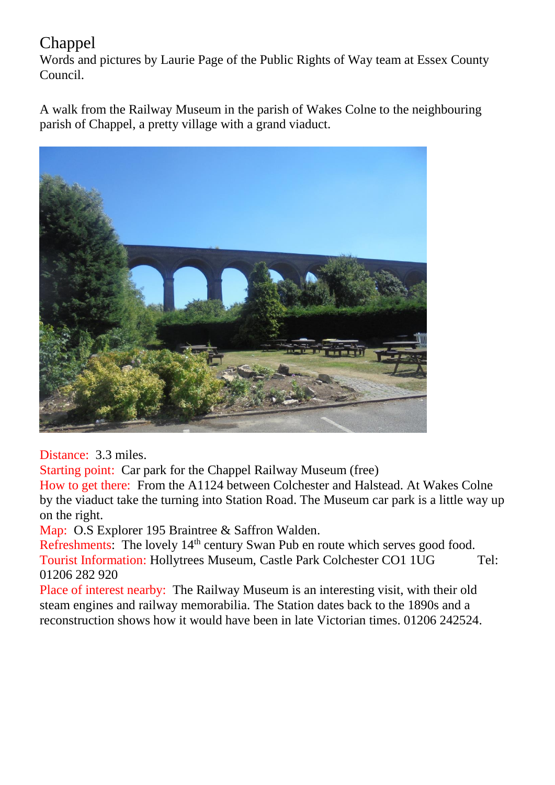## Chappel

Words and pictures by Laurie Page of the Public Rights of Way team at Essex County Council.

A walk from the Railway Museum in the parish of Wakes Colne to the neighbouring parish of Chappel, a pretty village with a grand viaduct.



Distance: 3.3 miles.

Starting point: Car park for the Chappel Railway Museum (free)

How to get there: From the A1124 between Colchester and Halstead. At Wakes Colne by the viaduct take the turning into Station Road. The Museum car park is a little way up on the right.

Map: O.S Explorer 195 Braintree & Saffron Walden.

Refreshments: The lovely 14<sup>th</sup> century Swan Pub en route which serves good food. Tourist Information: Hollytrees Museum, Castle Park Colchester CO1 1UG Tel: 01206 282 920

Place of interest nearby: The Railway Museum is an interesting visit, with their old steam engines and railway memorabilia. The Station dates back to the 1890s and a reconstruction shows how it would have been in late Victorian times. 01206 242524.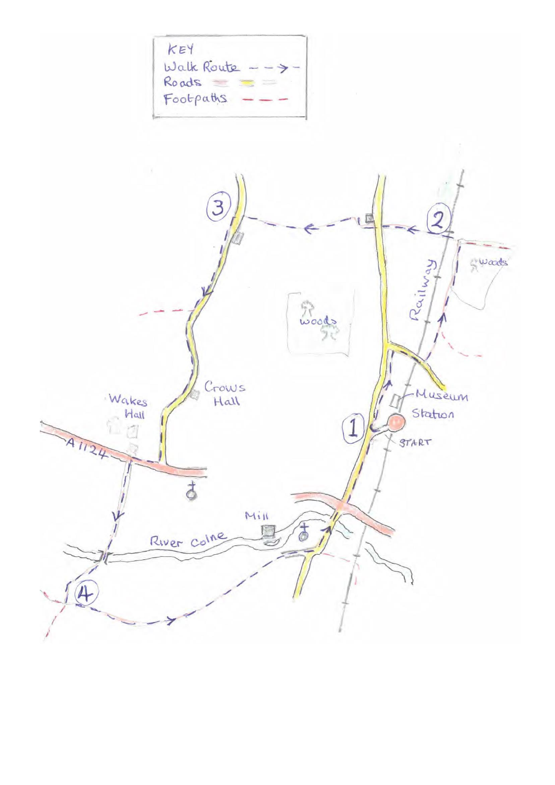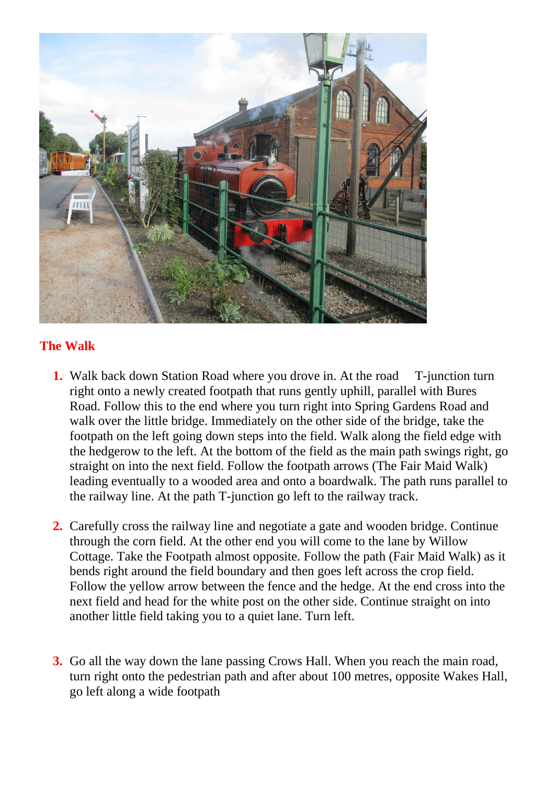

## **The Walk**

- **1.** Walk back down Station Road where you drove in. At the road T-junction turn right onto a newly created footpath that runs gently uphill, parallel with Bures Road. Follow this to the end where you turn right into Spring Gardens Road and walk over the little bridge. Immediately on the other side of the bridge, take the footpath on the left going down steps into the field. Walk along the field edge with the hedgerow to the left. At the bottom of the field as the main path swings right, go straight on into the next field. Follow the footpath arrows (The Fair Maid Walk) leading eventually to a wooded area and onto a boardwalk. The path runs parallel to the railway line. At the path T-junction go left to the railway track.
- **2.** Carefully cross the railway line and negotiate a gate and wooden bridge. Continue through the corn field. At the other end you will come to the lane by Willow Cottage. Take the Footpath almost opposite. Follow the path (Fair Maid Walk) as it bends right around the field boundary and then goes left across the crop field. Follow the yellow arrow between the fence and the hedge. At the end cross into the next field and head for the white post on the other side. Continue straight on into another little field taking you to a quiet lane. Turn left.
- **3.** Go all the way down the lane passing Crows Hall. When you reach the main road, turn right onto the pedestrian path and after about 100 metres, opposite Wakes Hall, go left along a wide footpath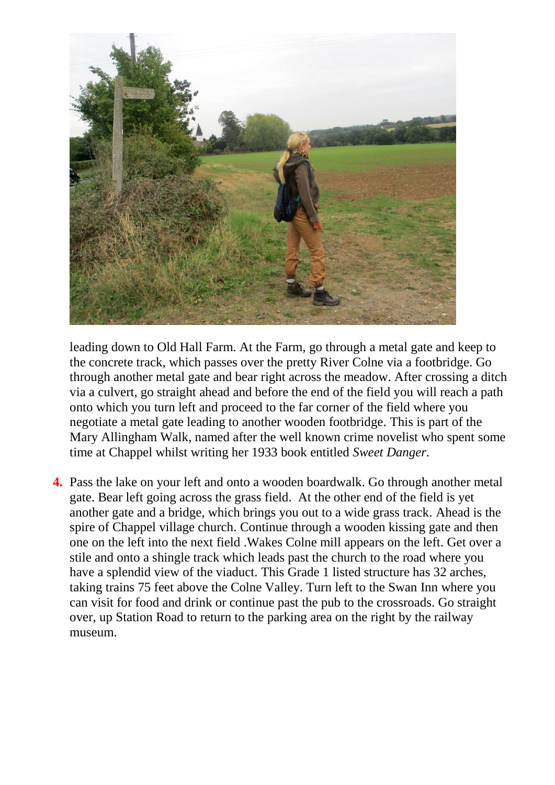

leading down to Old Hall Farm. At the Farm, go through a metal gate and keep to the concrete track, which passes over the pretty River Colne via a footbridge. Go through another metal gate and bear right across the meadow. After crossing a ditch via a culvert, go straight ahead and before the end of the field you will reach a path onto which you turn left and proceed to the far corner of the field where you negotiate a metal gate leading to another wooden footbridge. This is part of the Mary Allingham Walk, named after the well known crime novelist who spent some time at Chappel whilst writing her 1933 book entitled *Sweet Danger.*

**4.** Pass the lake on your left and onto a wooden boardwalk. Go through another metal gate. Bear left going across the grass field. At the other end of the field is yet another gate and a bridge, which brings you out to a wide grass track. Ahead is the spire of Chappel village church. Continue through a wooden kissing gate and then one on the left into the next field .Wakes Colne mill appears on the left. Get over a stile and onto a shingle track which leads past the church to the road where you have a splendid view of the viaduct. This Grade 1 listed structure has 32 arches, taking trains 75 feet above the Colne Valley. Turn left to the Swan Inn where you can visit for food and drink or continue past the pub to the crossroads. Go straight over, up Station Road to return to the parking area on the right by the railway museum.